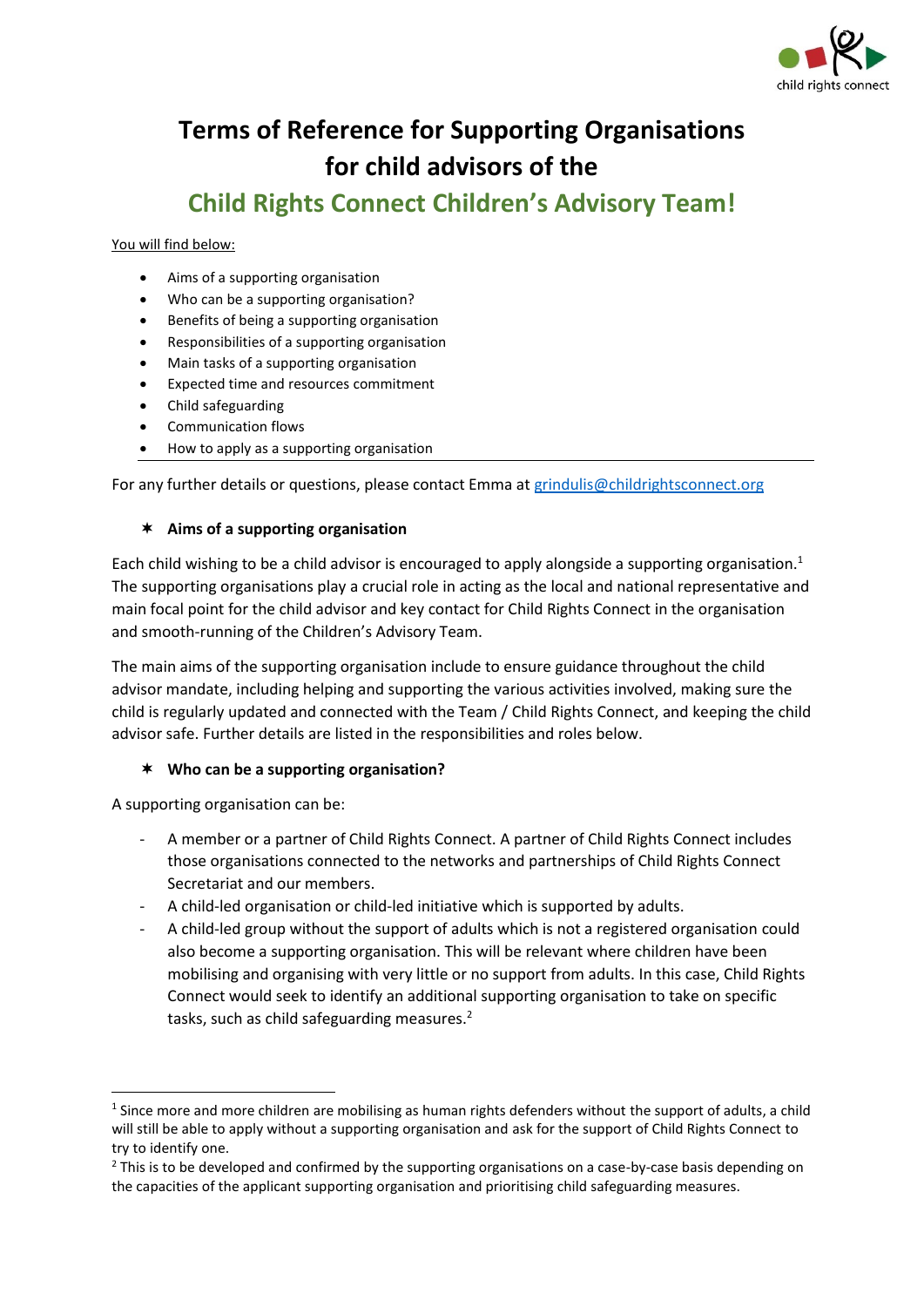

# **Terms of Reference for Supporting Organisations for child advisors of the**

## **Child Rights Connect Children's Advisory Team!**

#### You will find below:

- Aims of a supporting organisation
- Who can be a supporting organisation?
- Benefits of being a supporting organisation
- Responsibilities of a supporting organisation
- Main tasks of a supporting organisation
- Expected time and resources commitment
- Child safeguarding
- Communication flows
- How to apply as a supporting organisation

#### For any further details or questions, please contact Emma at [grindulis@childrightsconnect.org](mailto:grindulis@childrightsconnect.org)

#### **Aims of a supporting organisation**

Each child wishing to be a child advisor is encouraged to apply alongside a supporting organisation. 1 The supporting organisations play a crucial role in acting as the local and national representative and main focal point for the child advisor and key contact for Child Rights Connect in the organisation and smooth-running of the Children's Advisory Team.

The main aims of the supporting organisation include to ensure guidance throughout the child advisor mandate, including helping and supporting the various activities involved, making sure the child is regularly updated and connected with the Team / Child Rights Connect, and keeping the child advisor safe. Further details are listed in the responsibilities and roles below.

#### **Who can be a supporting organisation?**

A supporting organisation can be:

- A member or a partner of Child Rights Connect. A partner of Child Rights Connect includes those organisations connected to the networks and partnerships of Child Rights Connect Secretariat and our members.
- A child-led organisation or child-led initiative which is supported by adults.
- A child-led group without the support of adults which is not a registered organisation could also become a supporting organisation. This will be relevant where children have been mobilising and organising with very little or no support from adults. In this case, Child Rights Connect would seek to identify an additional supporting organisation to take on specific tasks, such as child safeguarding measures.<sup>2</sup>

 $<sup>1</sup>$  Since more and more children are mobilising as human rights defenders without the support of adults, a child</sup> will still be able to apply without a supporting organisation and ask for the support of Child Rights Connect to try to identify one.

 $<sup>2</sup>$  This is to be developed and confirmed by the supporting organisations on a case-by-case basis depending on</sup> the capacities of the applicant supporting organisation and prioritising child safeguarding measures.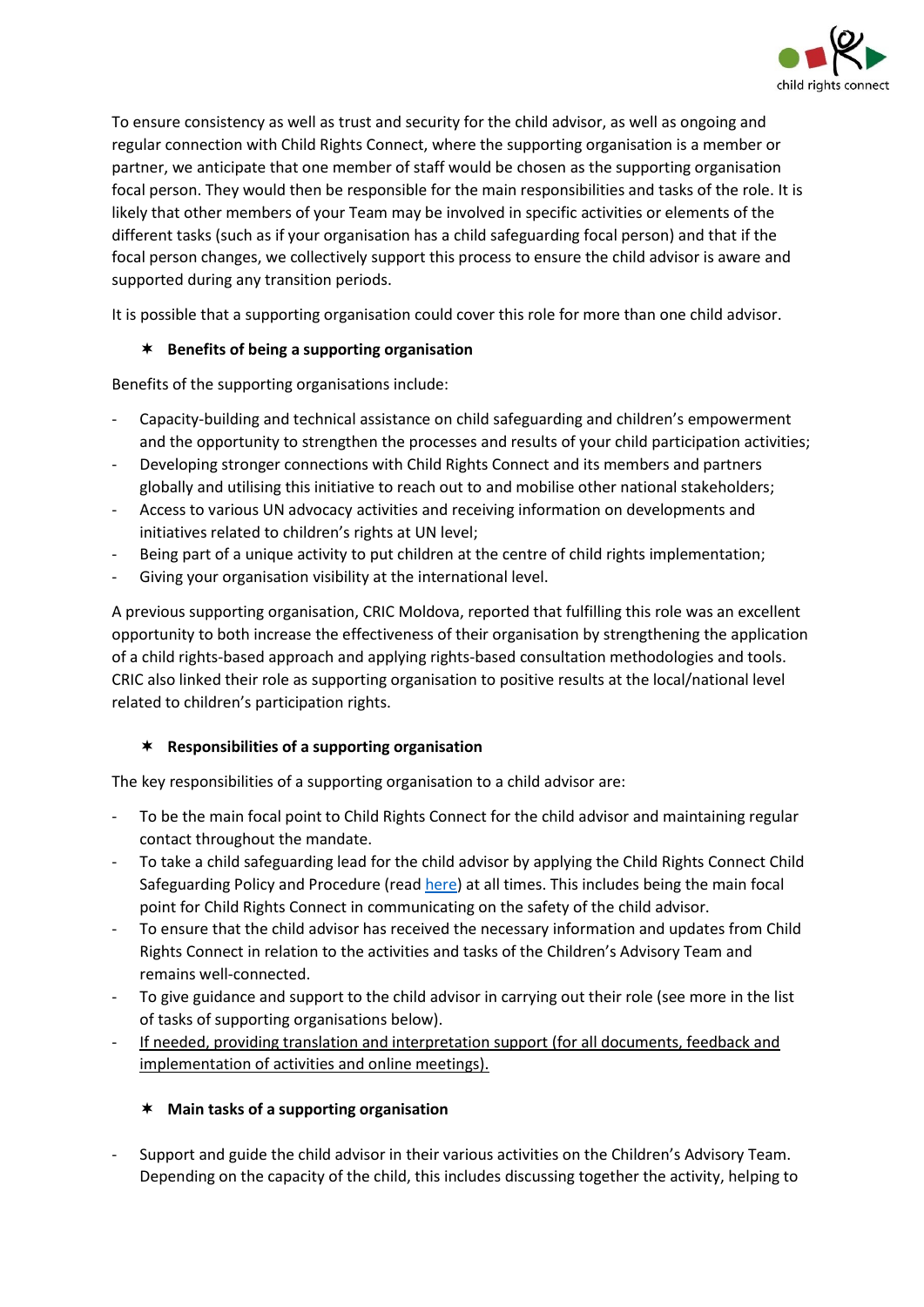

To ensure consistency as well as trust and security for the child advisor, as well as ongoing and regular connection with Child Rights Connect, where the supporting organisation is a member or partner, we anticipate that one member of staff would be chosen as the supporting organisation focal person. They would then be responsible for the main responsibilities and tasks of the role. It is likely that other members of your Team may be involved in specific activities or elements of the different tasks (such as if your organisation has a child safeguarding focal person) and that if the focal person changes, we collectively support this process to ensure the child advisor is aware and supported during any transition periods.

It is possible that a supporting organisation could cover this role for more than one child advisor.

## **Benefits of being a supporting organisation**

Benefits of the supporting organisations include:

- Capacity-building and technical assistance on child safeguarding and children's empowerment and the opportunity to strengthen the processes and results of your child participation activities;
- Developing stronger connections with Child Rights Connect and its members and partners globally and utilising this initiative to reach out to and mobilise other national stakeholders;
- Access to various UN advocacy activities and receiving information on developments and initiatives related to children's rights at UN level;
- Being part of a unique activity to put children at the centre of child rights implementation;
- Giving your organisation visibility at the international level.

A previous supporting organisation, CRIC Moldova, reported that fulfilling this role was an excellent opportunity to both increase the effectiveness of their organisation by strengthening the application of a child rights-based approach and applying rights-based consultation methodologies and tools. CRIC also linked their role as supporting organisation to positive results at the local/national level related to children's participation rights.

#### **Responsibilities of a supporting organisation**

The key responsibilities of a supporting organisation to a child advisor are:

- To be the main focal point to Child Rights Connect for the child advisor and maintaining regular contact throughout the mandate.
- To take a child safeguarding lead for the child advisor by applying the Child Rights Connect Child Safeguarding Policy and Procedure (read [here\)](https://childrightsconnect.org/wp-content/uploads/2021/08/crcnct-child-safeguarding-policy-procedure.pdf) at all times. This includes being the main focal point for Child Rights Connect in communicating on the safety of the child advisor.
- To ensure that the child advisor has received the necessary information and updates from Child Rights Connect in relation to the activities and tasks of the Children's Advisory Team and remains well-connected.
- To give guidance and support to the child advisor in carrying out their role (see more in the list of tasks of supporting organisations below).
- If needed, providing translation and interpretation support (for all documents, feedback and implementation of activities and online meetings).

#### **Main tasks of a supporting organisation**

Support and guide the child advisor in their various activities on the Children's Advisory Team. Depending on the capacity of the child, this includes discussing together the activity, helping to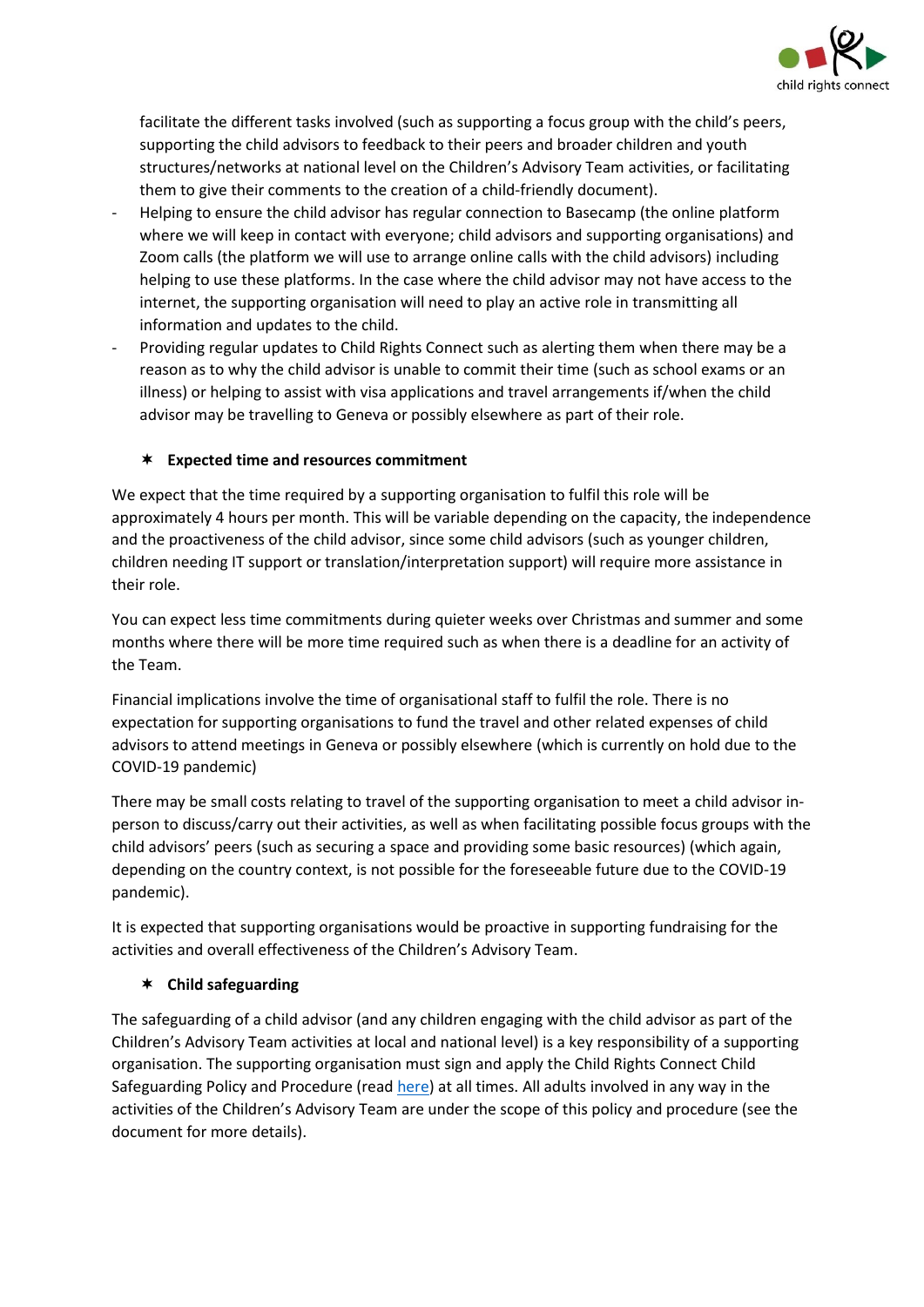

facilitate the different tasks involved (such as supporting a focus group with the child's peers, supporting the child advisors to feedback to their peers and broader children and youth structures/networks at national level on the Children's Advisory Team activities, or facilitating them to give their comments to the creation of a child-friendly document).

- Helping to ensure the child advisor has regular connection to Basecamp (the online platform where we will keep in contact with everyone; child advisors and supporting organisations) and Zoom calls (the platform we will use to arrange online calls with the child advisors) including helping to use these platforms. In the case where the child advisor may not have access to the internet, the supporting organisation will need to play an active role in transmitting all information and updates to the child.
- Providing regular updates to Child Rights Connect such as alerting them when there may be a reason as to why the child advisor is unable to commit their time (such as school exams or an illness) or helping to assist with visa applications and travel arrangements if/when the child advisor may be travelling to Geneva or possibly elsewhere as part of their role.

#### **Expected time and resources commitment**

We expect that the time required by a supporting organisation to fulfil this role will be approximately 4 hours per month. This will be variable depending on the capacity, the independence and the proactiveness of the child advisor, since some child advisors (such as younger children, children needing IT support or translation/interpretation support) will require more assistance in their role.

You can expect less time commitments during quieter weeks over Christmas and summer and some months where there will be more time required such as when there is a deadline for an activity of the Team.

Financial implications involve the time of organisational staff to fulfil the role. There is no expectation for supporting organisations to fund the travel and other related expenses of child advisors to attend meetings in Geneva or possibly elsewhere (which is currently on hold due to the COVID-19 pandemic)

There may be small costs relating to travel of the supporting organisation to meet a child advisor inperson to discuss/carry out their activities, as well as when facilitating possible focus groups with the child advisors' peers (such as securing a space and providing some basic resources) (which again, depending on the country context, is not possible for the foreseeable future due to the COVID-19 pandemic).

It is expected that supporting organisations would be proactive in supporting fundraising for the activities and overall effectiveness of the Children's Advisory Team.

## **Child safeguarding**

The safeguarding of a child advisor (and any children engaging with the child advisor as part of the Children's Advisory Team activities at local and national level) is a key responsibility of a supporting organisation. The supporting organisation must sign and apply the Child Rights Connect Child Safeguarding Policy and Procedure (read [here\)](https://childrightsconnect.org/wp-content/uploads/2021/08/crcnct-child-safeguarding-policy-procedure.pdf) at all times. All adults involved in any way in the activities of the Children's Advisory Team are under the scope of this policy and procedure (see the document for more details).